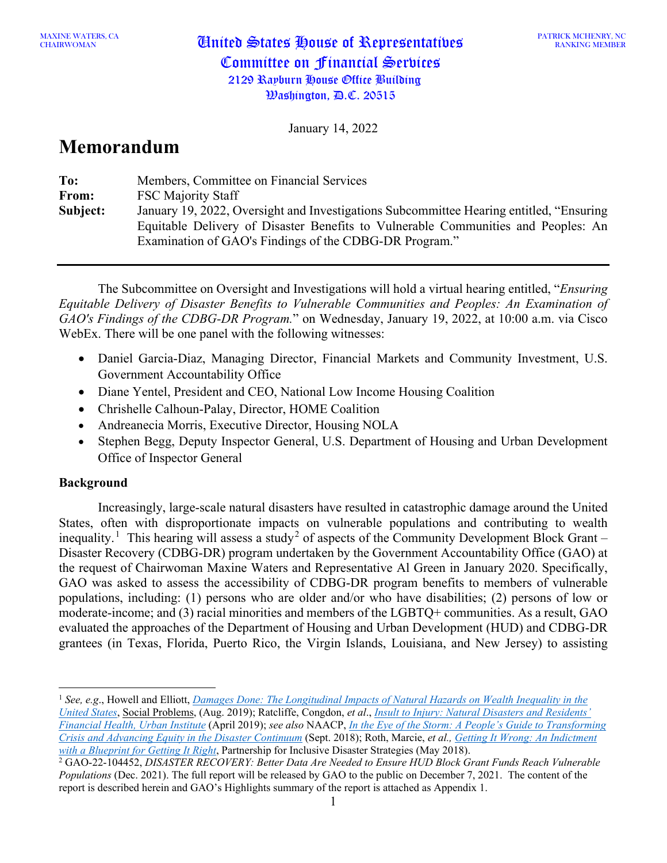PATRICK MCHENRY, NC RANKING MEMBER

January 14, 2022

# **Memorandum**

| To:      | Members, Committee on Financial Services                                                                                                                                                                                                |
|----------|-----------------------------------------------------------------------------------------------------------------------------------------------------------------------------------------------------------------------------------------|
| From:    | <b>FSC Majority Staff</b>                                                                                                                                                                                                               |
| Subject: | January 19, 2022, Oversight and Investigations Subcommittee Hearing entitled, "Ensuring"<br>Equitable Delivery of Disaster Benefits to Vulnerable Communities and Peoples: An<br>Examination of GAO's Findings of the CDBG-DR Program." |

The Subcommittee on Oversight and Investigations will hold a virtual hearing entitled, "*Ensuring Equitable Delivery of Disaster Benefits to Vulnerable Communities and Peoples: An Examination of GAO's Findings of the CDBG-DR Program.*" on Wednesday, January 19, 2022, at 10:00 a.m. via Cisco WebEx. There will be one panel with the following witnesses:

- Daniel Garcia-Diaz, Managing Director, Financial Markets and Community Investment, U.S. Government Accountability Office
- Diane Yentel, President and CEO, National Low Income Housing Coalition
- Chrishelle Calhoun-Palay, Director, HOME Coalition
- Andreanecia Morris, Executive Director, Housing NOLA
- Stephen Begg, Deputy Inspector General, U.S. Department of Housing and Urban Development Office of Inspector General

## **Background**

Increasingly, large-scale natural disasters have resulted in catastrophic damage around the United States, often with disproportionate impacts on vulnerable populations and contributing to wealth inequality.<sup>[1](#page-0-0)</sup> This hearing will assess a study<sup>[2](#page-0-1)</sup> of aspects of the Community Development Block Grant – Disaster Recovery (CDBG-DR) program undertaken by the Government Accountability Office (GAO) at the request of Chairwoman Maxine Waters and Representative Al Green in January 2020. Specifically, GAO was asked to assess the accessibility of CDBG-DR program benefits to members of vulnerable populations, including: (1) persons who are older and/or who have disabilities; (2) persons of low or moderate-income; and (3) racial minorities and members of the LGBTQ+ communities. As a result, GAO evaluated the approaches of the Department of Housing and Urban Development (HUD) and CDBG-DR grantees (in Texas, Florida, Puerto Rico, the Virgin Islands, Louisiana, and New Jersey) to assisting

<span id="page-0-0"></span><sup>1</sup> *See, e.g*., Howell and Elliott, *[Damages Done: The Longitudinal Impacts of Natural Hazards on Wealth Inequality in the](https://academic.oup.com/socpro/article-pdf/66/3/448/28941838/spy016.pdf)  [United States](https://academic.oup.com/socpro/article-pdf/66/3/448/28941838/spy016.pdf)*, Social Problems, (Aug. 2019); Ratcliffe, Congdon, *et al*., *[Insult to Injury: Natural Disasters and Residents'](https://www.urban.org/research/publication/insult-injury-natural-disasters-and-residents-financial-health)  [Financial Health, Urban Institute](https://www.urban.org/research/publication/insult-injury-natural-disasters-and-residents-financial-health)* (April 2019); *see also* NAACP, *[In the Eye of the Storm: A People's Guide to Transforming](https://naacp.org/resources/eye-storm-peoples-guide-transforming-crisis-advancing-equity-disaster-continuum)  [Crisis and Advancing Equity in the Disaster Continuum](https://naacp.org/resources/eye-storm-peoples-guide-transforming-crisis-advancing-equity-disaster-continuum)* (Sept. 2018); Roth, Marcie, *et al.[, Getting It Wrong: An Indictment](https://disasterstrategies.org/wp-content/uploads/2018/08/5-23-18_After_Action_Report_-_May__2018.pdf)  [with a Blueprint for Getting It Right](https://disasterstrategies.org/wp-content/uploads/2018/08/5-23-18_After_Action_Report_-_May__2018.pdf)*, Partnership for Inclusive Disaster Strategies (May 2018).

<span id="page-0-1"></span><sup>2</sup> GAO-22-104452, *DISASTER RECOVERY: Better Data Are Needed to Ensure HUD Block Grant Funds Reach Vulnerable Populations* (Dec. 2021). The full report will be released by GAO to the public on December 7, 2021. The content of the report is described herein and GAO's Highlights summary of the report is attached as Appendix 1.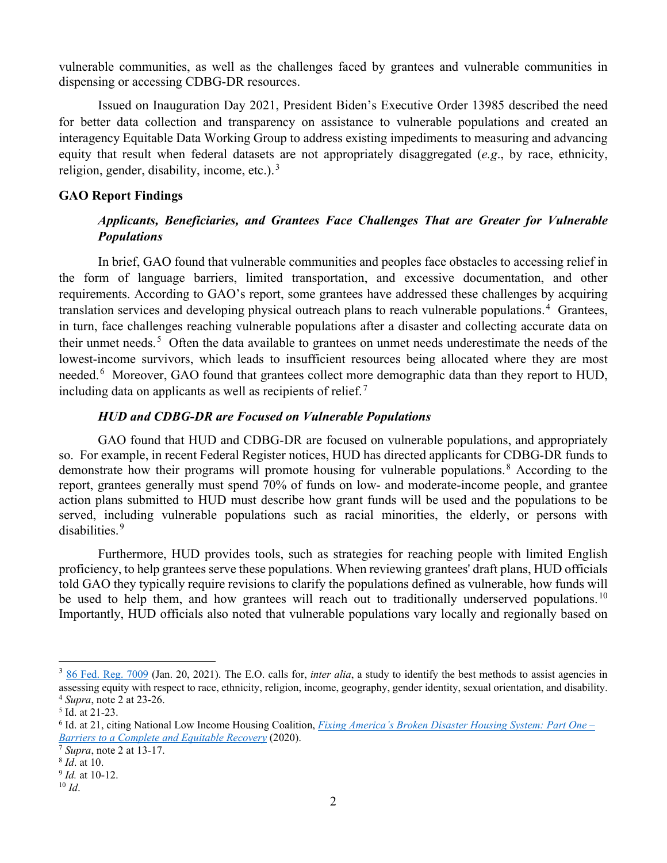vulnerable communities, as well as the challenges faced by grantees and vulnerable communities in dispensing or accessing CDBG-DR resources.

Issued on Inauguration Day 2021, President Biden's Executive Order 13985 described the need for better data collection and transparency on assistance to vulnerable populations and created an interagency Equitable Data Working Group to address existing impediments to measuring and advancing equity that result when federal datasets are not appropriately disaggregated (*e.g*., by race, ethnicity, religion, gender, disability, income, etc.). $3$ 

#### **GAO Report Findings**

## *Applicants, Beneficiaries, and Grantees Face Challenges That are Greater for Vulnerable Populations*

In brief, GAO found that vulnerable communities and peoples face obstacles to accessing relief in the form of language barriers, limited transportation, and excessive documentation, and other requirements. According to GAO's report, some grantees have addressed these challenges by acquiring translation services and developing physical outreach plans to reach vulnerable populations.<sup>[4](#page-1-1)</sup> Grantees, in turn, face challenges reaching vulnerable populations after a disaster and collecting accurate data on their unmet needs.<sup>[5](#page-1-2)</sup> Often the data available to grantees on unmet needs underestimate the needs of the lowest-income survivors, which leads to insufficient resources being allocated where they are most needed.<sup>[6](#page-1-3)</sup> Moreover, GAO found that grantees collect more demographic data than they report to HUD, including data on applicants as well as recipients of relief.<sup>[7](#page-1-4)</sup>

#### *HUD and CDBG-DR are Focused on Vulnerable Populations*

GAO found that HUD and CDBG-DR are focused on vulnerable populations, and appropriately so. For example, in recent Federal Register notices, HUD has directed applicants for CDBG-DR funds to demonstrate how their programs will promote housing for vulnerable populations.<sup>[8](#page-1-5)</sup> According to the report, grantees generally must spend 70% of funds on low- and moderate-income people, and grantee action plans submitted to HUD must describe how grant funds will be used and the populations to be served, including vulnerable populations such as racial minorities, the elderly, or persons with disabilities.[9](#page-1-6)

Furthermore, HUD provides tools, such as strategies for reaching people with limited English proficiency, to help grantees serve these populations. When reviewing grantees' draft plans, HUD officials told GAO they typically require revisions to clarify the populations defined as vulnerable, how funds will be used to help them, and how grantees will reach out to traditionally underserved populations.<sup>[10](#page-1-7)</sup> Importantly, HUD officials also noted that vulnerable populations vary locally and regionally based on

<span id="page-1-0"></span><sup>3</sup> [86 Fed. Reg. 7009](https://www.govinfo.gov/content/pkg/FR-2021-01-25/pdf/2021-01753.pdf) (Jan. 20, 2021). The E.O. calls for, *inter alia*, a study to identify the best methods to assist agencies in assessing equity with respect to race, ethnicity, religion, income, geography, gender identity, sexual orientation, and disability. 4 *Supra*, note 2 at 23-26.

<span id="page-1-2"></span><span id="page-1-1"></span><sup>5</sup> Id. at 21-23.

<span id="page-1-3"></span><sup>6</sup> Id. at 21, citing National Low Income Housing Coalition, *[Fixing America's Broken Disaster Housing System: Part One –](https://tinyurl.com/y6fhjsze) Barriers to a Complete and Equitable Recovery* (2020). 7 *Supra*, note 2 at 13-17.

<span id="page-1-4"></span>

<span id="page-1-5"></span><sup>8</sup> *Id*. at 10.

<span id="page-1-6"></span><sup>9</sup> *Id.* at 10-12.

<span id="page-1-7"></span> $10$  *Id.*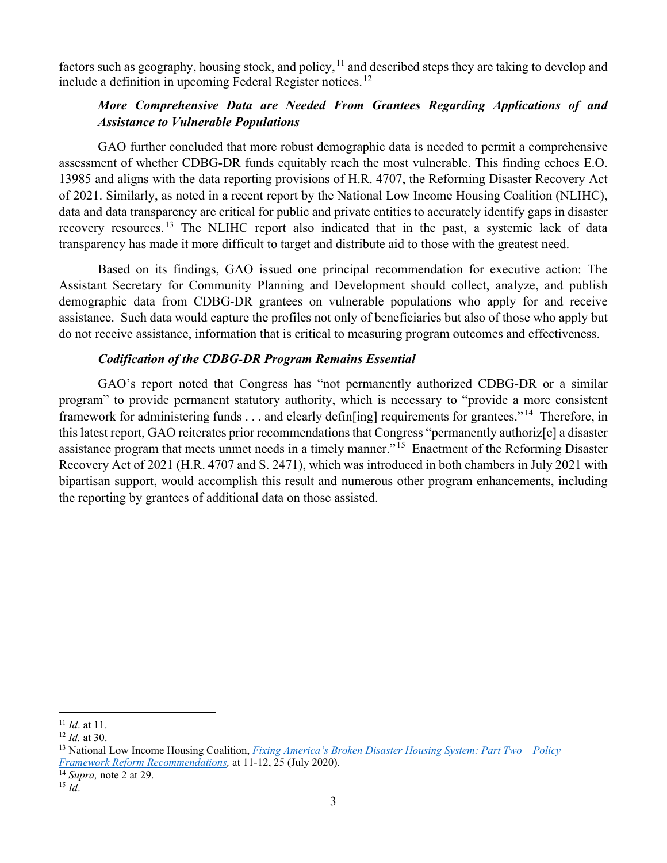factors such as geography, housing stock, and policy,  $11$  and described steps they are taking to develop and include a definition in upcoming Federal Register notices.<sup>[12](#page-2-1)</sup>

## *More Comprehensive Data are Needed From Grantees Regarding Applications of and Assistance to Vulnerable Populations*

GAO further concluded that more robust demographic data is needed to permit a comprehensive assessment of whether CDBG-DR funds equitably reach the most vulnerable. This finding echoes E.O. 13985 and aligns with the data reporting provisions of H.R. 4707, the Reforming Disaster Recovery Act of 2021. Similarly, as noted in a recent report by the National Low Income Housing Coalition (NLIHC), data and data transparency are critical for public and private entities to accurately identify gaps in disaster recovery resources.[13](#page-2-2) The NLIHC report also indicated that in the past, a systemic lack of data transparency has made it more difficult to target and distribute aid to those with the greatest need.

Based on its findings, GAO issued one principal recommendation for executive action: The Assistant Secretary for Community Planning and Development should collect, analyze, and publish demographic data from CDBG-DR grantees on vulnerable populations who apply for and receive assistance. Such data would capture the profiles not only of beneficiaries but also of those who apply but do not receive assistance, information that is critical to measuring program outcomes and effectiveness.

#### *Codification of the CDBG-DR Program Remains Essential*

GAO's report noted that Congress has "not permanently authorized CDBG-DR or a similar program" to provide permanent statutory authority, which is necessary to "provide a more consistent framework for administering funds . . . and clearly defin[ing] requirements for grantees." [14](#page-2-3) Therefore, in this latest report, GAO reiterates prior recommendations that Congress "permanently authoriz[e] a disaster assistance program that meets unmet needs in a timely manner."[15](#page-2-4) Enactment of the Reforming Disaster Recovery Act of 2021 (H.R. 4707 and S. 2471), which was introduced in both chambers in July 2021 with bipartisan support, would accomplish this result and numerous other program enhancements, including the reporting by grantees of additional data on those assisted.

<span id="page-2-0"></span><sup>11</sup> *Id*. at 11.

<span id="page-2-1"></span><sup>12</sup> *Id.* at 30.

<span id="page-2-2"></span><sup>13</sup> National Low Income Housing Coalition, *[Fixing America's Broken Disaster Housing System: Part Two –](https://tinyurl.com/y2gaj4tw) Policy [Framework Reform Recommendations,](https://tinyurl.com/y2gaj4tw)* at 11-12, 25 (July 2020).

<span id="page-2-4"></span><span id="page-2-3"></span><sup>14</sup> *Supra,* note 2 at 29. 15 *Id*.